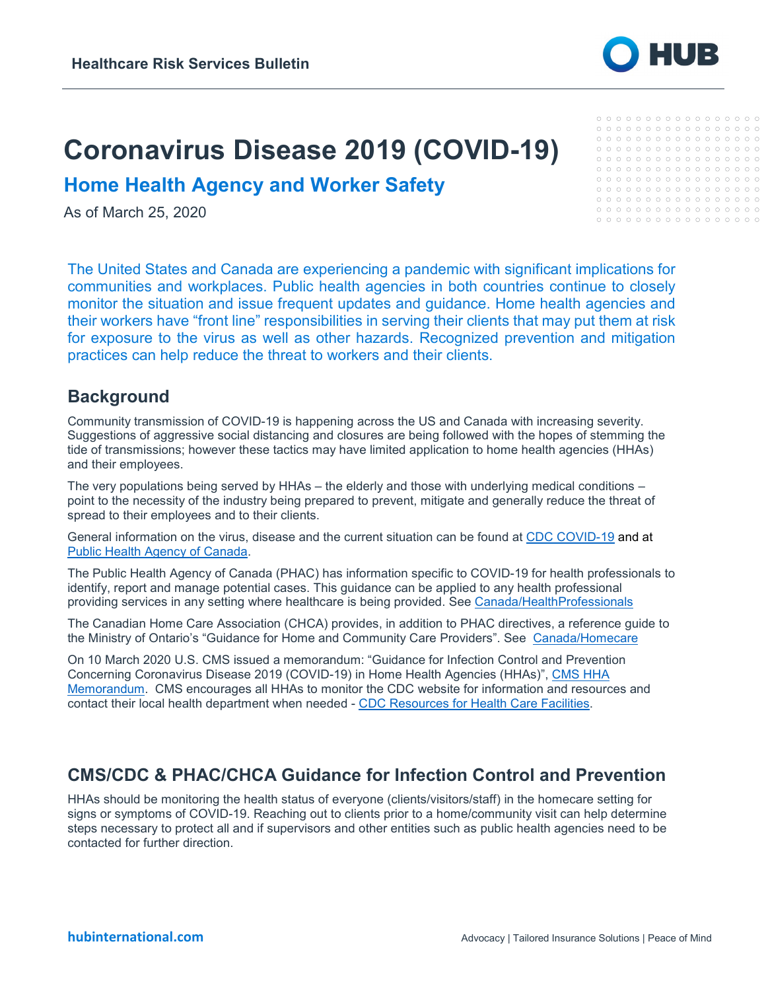# **Coronavirus Disease 2019 (COVID-19)**

**Home Health Agency and Worker Safety**

As of March 25, 2020

The United States and Canada are experiencing a pandemic with significant implications for communities and workplaces. Public health agencies in both countries continue to closely monitor the situation and issue frequent updates and guidance. Home health agencies and their workers have "front line" responsibilities in serving their clients that may put them at risk for exposure to the virus as well as other hazards. Recognized prevention and mitigation practices can help reduce the threat to workers and their clients.

## **Background**

Community transmission of COVID-19 is happening across the US and Canada with increasing severity. Suggestions of aggressive social distancing and closures are being followed with the hopes of stemming the tide of transmissions; however these tactics may have limited application to home health agencies (HHAs) and their employees.

The very populations being served by HHAs – the elderly and those with underlying medical conditions – point to the necessity of the industry being prepared to prevent, mitigate and generally reduce the threat of spread to their employees and to their clients.

General information on the virus, disease and the current situation can be found at [CDC COVID-19](https://www.cdc.gov/coronavirus/2019-ncov/index.html) and at [Public Health Agency of Canada.](https://www.canada.ca/en/public-health.html)

The Public Health Agency of Canada (PHAC) has information specific to COVID-19 for health professionals to identify, report and manage potential cases. This guidance can be applied to any health professional providing services in any setting where healthcare is being provided. See [Canada/HealthProfessionals](https://www.canada.ca/en/public-health/services/diseases/2019-novel-coronavirus-infection/health-professionals.html)

The Canadian Home Care Association (CHCA) provides, in addition to PHAC directives, a reference guide to the Ministry of Ontario's "Guidance for Home and Community Care Providers". See [Canada/Homecare](http://www.health.gov.on.ca/en/pro/programs/publichealth/coronavirus/docs/2019_home_community_care_guidance.pdf)

On 10 March 2020 U.S. CMS issued a memorandum: "Guidance for Infection Control and Prevention Concerning Coronavirus Disease 2019 (COVID-19) in Home Health Agencies (HHAs)", [CMS HHA](https://www.cms.gov/files/document/qso-20-18-hha.pdf)  [Memorandum.](https://www.cms.gov/files/document/qso-20-18-hha.pdf) CMS encourages all HHAs to monitor the CDC website for information and resources and contact their local health department when needed - [CDC Resources for Health Care Facilities.](https://www.cdc.gov/coronavirus/2019-ncov/healthcare-facilities/index.html)

## **CMS/CDC & PHAC/CHCA Guidance for Infection Control and Prevention**

HHAs should be monitoring the health status of everyone (clients/visitors/staff) in the homecare setting for signs or symptoms of COVID-19. Reaching out to clients prior to a home/community visit can help determine steps necessary to protect all and if supervisors and other entities such as public health agencies need to be contacted for further direction.



 $0000000000000000000$  $0000000000000000000$  $0000000000000000000$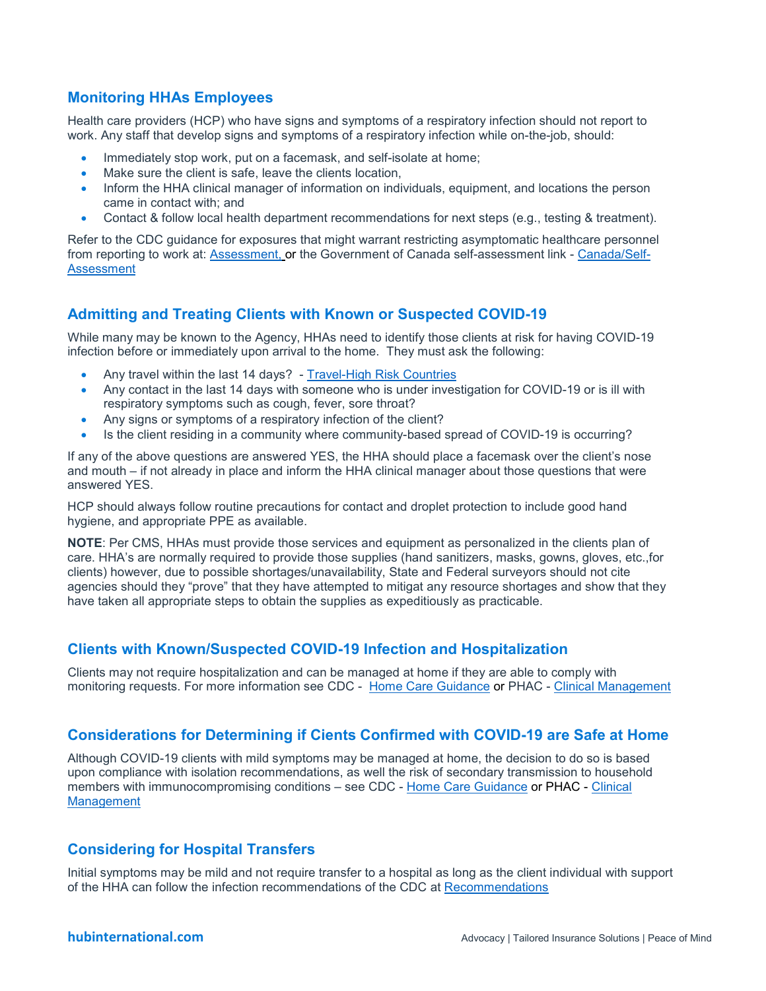#### **Monitoring HHAs Employees**

Health care providers (HCP) who have signs and symptoms of a respiratory infection should not report to work. Any staff that develop signs and symptoms of a respiratory infection while on-the-job, should:

- Immediately stop work, put on a facemask, and self-isolate at home;
- Make sure the client is safe, leave the clients location,
- Inform the HHA clinical manager of information on individuals, equipment, and locations the person came in contact with; and
- Contact & follow local health department recommendations for next steps (e.g., testing & treatment).

Refer to the CDC guidance for exposures that might warrant restricting asymptomatic healthcare personnel from reporting to work at: [Assessment,](https://www.cdc.gov/coronavirus/2019-ncov/hcp/guidance-risk-assesment-hcp.html) or the Government of Canada self-assessment link - [Canada/Self-](https://ca.thrive.health/covid19/en)[Assessment](https://ca.thrive.health/covid19/en)

#### **Admitting and Treating Clients with Known or Suspected COVID-19**

While many may be known to the Agency, HHAs need to identify those clients at risk for having COVID-19 infection before or immediately upon arrival to the home. They must ask the following:

- Any travel within the last 14 days? [Travel-High Risk Countries](https://www.cdc.gov/coronavirus/2019-ncov/travelers/after-travel-precautions.html)
- Any contact in the last 14 days with someone who is under investigation for COVID-19 or is ill with respiratory symptoms such as cough, fever, sore throat?
- Any signs or symptoms of a respiratory infection of the client?
- Is the client residing in a community where community-based spread of COVID-19 is occurring?

If any of the above questions are answered YES, the HHA should place a facemask over the client's nose and mouth – if not already in place and inform the HHA clinical manager about those questions that were answered YES.

HCP should always follow routine precautions for contact and droplet protection to include good hand hygiene, and appropriate PPE as available.

**NOTE**: Per CMS, HHAs must provide those services and equipment as personalized in the clients plan of care. HHA's are normally required to provide those supplies (hand sanitizers, masks, gowns, gloves, etc.,for clients) however, due to possible shortages/unavailability, State and Federal surveyors should not cite agencies should they "prove" that they have attempted to mitigat any resource shortages and show that they have taken all appropriate steps to obtain the supplies as expeditiously as practicable.

#### **Clients with Known/Suspected COVID-19 Infection and Hospitalization**

Clients may not require hospitalization and can be managed at home if they are able to comply with monitoring requests. For more information see CDC - [Home Care Guidance](https://www.cdc.gov/coronavirus/2019-ncov/hcp/guidance-home-care.html) or PHAC - [Clinical Management](https://www.who.int/publications-detail/clinical-management-of-severe-acute-respiratory-infection-when-novel-coronavirus-(ncov)-infection-is-suspected)

#### **Considerations for Determining if Cients Confirmed with COVID-19 are Safe at Home**

Although COVID-19 clients with mild symptoms may be managed at home, the decision to do so is based upon compliance with isolation recommendations, as well the risk of secondary transmission to household members with immunocompromising conditions – see CDC - [Home Care Guidance](https://www.cdc.gov/coronavirus/2019-ncov/hcp/guidance-home-care.html) or PHAC - [Clinical](https://www.who.int/publications-detail/clinical-management-of-severe-acute-respiratory-infection-when-novel-coronavirus-(ncov)-infection-is-suspected)  **[Management](https://www.who.int/publications-detail/clinical-management-of-severe-acute-respiratory-infection-when-novel-coronavirus-(ncov)-infection-is-suspected)** 

#### **Considering for Hospital Transfers**

Initial symptoms may be mild and not require transfer to a hospital as long as the client individual with support of the HHA can follow the infection recommendations of the CDC at [Recommendations](https://www.cdc.gov/coronavirus/2019-ncov/infection-control/control-recommendations.html)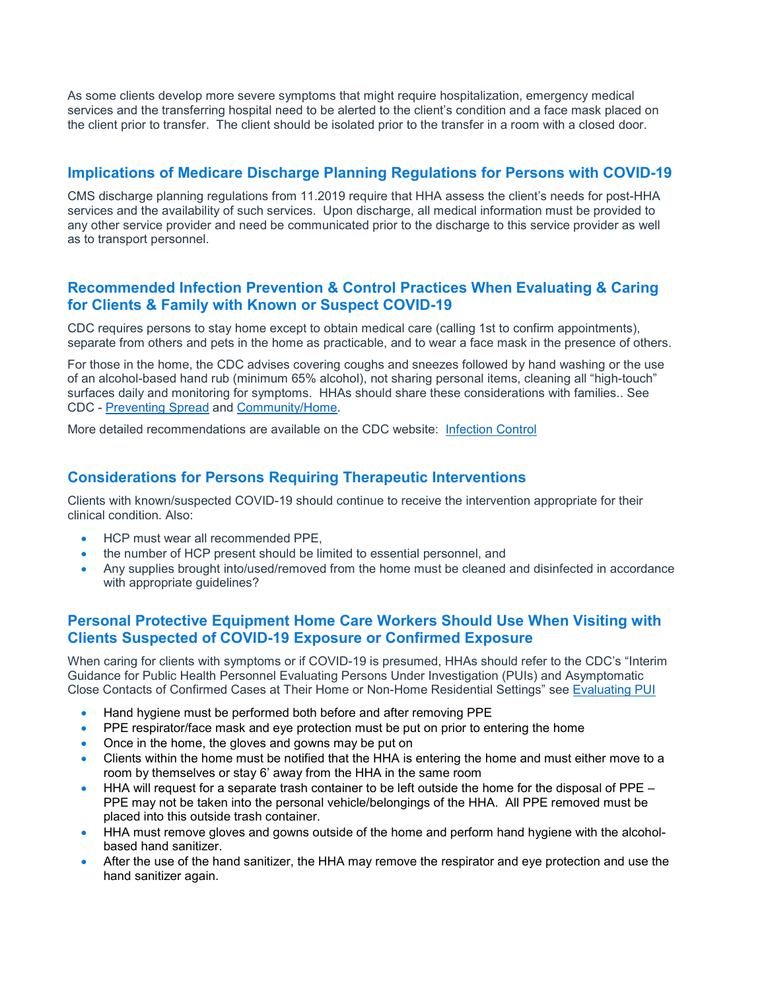As some clients develop more severe symptoms that might require hospitalization, emergency medical services and the transferring hospital need to be alerted to the client's condition and a face mask placed on the client prior to transfer. The client should be isolated prior to the transfer in a room with a closed door.

#### **Implications of Medicare Discharge Planning Regulations for Persons with COVID-19**

CMS discharge planning regulations from 11.2019 require that HHA assess the client's needs for post-HHA services and the availability of such services. Upon discharge, all medical information must be provided to any other service provider and need be communicated prior to the discharge to this service provider as well as to transport personnel.

#### **Recommended Infection Prevention & Control Practices When Evaluating & Caring for Clients & Family with Known or Suspect COVID-19**

CDC requires persons to stay home except to obtain medical care (calling 1st to confirm appointments), separate from others and pets in the home as practicable, and to wear a face mask in the presence of others.

For those in the home, the CDC advises covering coughs and sneezes followed by hand washing or the use of an alcohol-based hand rub (minimum 65% alcohol), not sharing personal items, cleaning all "high-touch" surfaces daily and monitoring for symptoms. HHAs should share these considerations with families.. See CDC - [Preventing Spread](https://www.cdc.gov/coronavirus/2019-ncov/hcp/guidance-prevent-spread.html) and [Community/Home.](https://www.cdc.gov/coronavirus/2019-ncov/community/home/index.html)

More detailed recommendations are available on the CDC website: [Infection Control](https://www.cdc.gov/coronavirus/2019-ncov/infection-control/control-recommendations.html)

#### **Considerations for Persons Requiring Therapeutic Interventions**

Clients with known/suspected COVID-19 should continue to receive the intervention appropriate for their clinical condition. Also:

- HCP must wear all recommended PPE,
- the number of HCP present should be limited to essential personnel, and
- Any supplies brought into/used/removed from the home must be cleaned and disinfected in accordance with appropriate guidelines?

#### **Personal Protective Equipment Home Care Workers Should Use When Visiting with Clients Suspected of COVID-19 Exposure or Confirmed Exposure**

When caring for clients with symptoms or if COVID-19 is presumed, HHAs should refer to the CDC's "Interim Guidance for Public Health Personnel Evaluating Persons Under Investigation (PUIs) and Asymptomatic Close Contacts of Confirmed Cases at Their Home or Non-Home Residential Settings" see [Evaluating PUI](https://www.cdc.gov/coronavirus/2019-ncov/php/guidance-evaluating-pui.html)

- Hand hygiene must be performed both before and after removing PPE
- PPE respirator/face mask and eye protection must be put on prior to entering the home
- Once in the home, the gloves and gowns may be put on
- Clients within the home must be notified that the HHA is entering the home and must either move to a room by themselves or stay 6' away from the HHA in the same room
- $\bullet$  HHA will request for a separate trash container to be left outside the home for the disposal of PPE PPE may not be taken into the personal vehicle/belongings of the HHA. All PPE removed must be placed into this outside trash container.
- HHA must remove gloves and gowns outside of the home and perform hand hygiene with the alcoholbased hand sanitizer.
- After the use of the hand sanitizer, the HHA may remove the respirator and eye protection and use the hand sanitizer again.